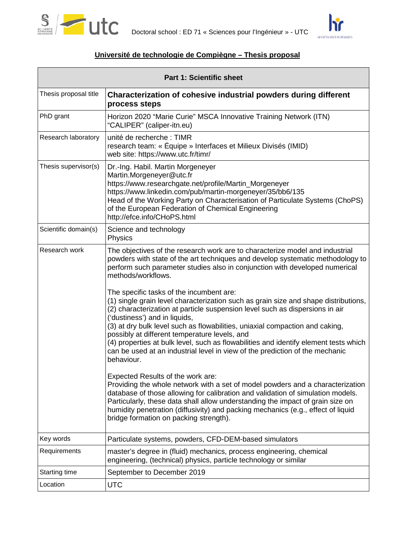



#### **Université de technologie de Compiègne – Thesis proposal**

| <b>Part 1: Scientific sheet</b> |                                                                                                                                                                                                                                                                                                                                                                                                                                                                                                                                                                                                                                                          |  |
|---------------------------------|----------------------------------------------------------------------------------------------------------------------------------------------------------------------------------------------------------------------------------------------------------------------------------------------------------------------------------------------------------------------------------------------------------------------------------------------------------------------------------------------------------------------------------------------------------------------------------------------------------------------------------------------------------|--|
| Thesis proposal title           | Characterization of cohesive industrial powders during different<br>process steps                                                                                                                                                                                                                                                                                                                                                                                                                                                                                                                                                                        |  |
| PhD grant                       | Horizon 2020 "Marie Curie" MSCA Innovative Training Network (ITN)<br>"CALIPER" (caliper-itn.eu)                                                                                                                                                                                                                                                                                                                                                                                                                                                                                                                                                          |  |
| Research laboratory             | unité de recherche : TIMR<br>research team: « Équipe » Interfaces et Milieux Divisés (IMID)<br>web site: https://www.utc.fr/timr/                                                                                                                                                                                                                                                                                                                                                                                                                                                                                                                        |  |
| Thesis supervisor(s)            | Dr.-Ing. Habil. Martin Morgeneyer<br>Martin.Morgeneyer@utc.fr<br>https://www.researchgate.net/profile/Martin_Morgeneyer<br>https://www.linkedin.com/pub/martin-morgeneyer/35/bb6/135<br>Head of the Working Party on Characterisation of Particulate Systems (ChoPS)<br>of the European Federation of Chemical Engineering<br>http://efce.info/CHoPS.html                                                                                                                                                                                                                                                                                                |  |
| Scientific domain(s)            | Science and technology<br>Physics                                                                                                                                                                                                                                                                                                                                                                                                                                                                                                                                                                                                                        |  |
| Research work                   | The objectives of the research work are to characterize model and industrial<br>powders with state of the art techniques and develop systematic methodology to<br>perform such parameter studies also in conjunction with developed numerical<br>methods/workflows.<br>The specific tasks of the incumbent are:<br>(1) single grain level characterization such as grain size and shape distributions,<br>(2) characterization at particle suspension level such as dispersions in air<br>('dustiness') and in liquids,<br>(3) at dry bulk level such as flowabilities, uniaxial compaction and caking,<br>possibly at different temperature levels, and |  |
|                                 | (4) properties at bulk level, such as flowabilities and identify element tests which<br>can be used at an industrial level in view of the prediction of the mechanic<br>behaviour.                                                                                                                                                                                                                                                                                                                                                                                                                                                                       |  |
|                                 | Expected Results of the work are:<br>Providing the whole network with a set of model powders and a characterization<br>database of those allowing for calibration and validation of simulation models.<br>Particularly, these data shall allow understanding the impact of grain size on<br>humidity penetration (diffusivity) and packing mechanics (e.g., effect of liquid<br>bridge formation on packing strength).                                                                                                                                                                                                                                   |  |
| Key words                       | Particulate systems, powders, CFD-DEM-based simulators                                                                                                                                                                                                                                                                                                                                                                                                                                                                                                                                                                                                   |  |
| Requirements                    | master's degree in (fluid) mechanics, process engineering, chemical<br>engineering, (technical) physics, particle technology or similar                                                                                                                                                                                                                                                                                                                                                                                                                                                                                                                  |  |
| Starting time                   | September to December 2019                                                                                                                                                                                                                                                                                                                                                                                                                                                                                                                                                                                                                               |  |
| Location                        | <b>UTC</b>                                                                                                                                                                                                                                                                                                                                                                                                                                                                                                                                                                                                                                               |  |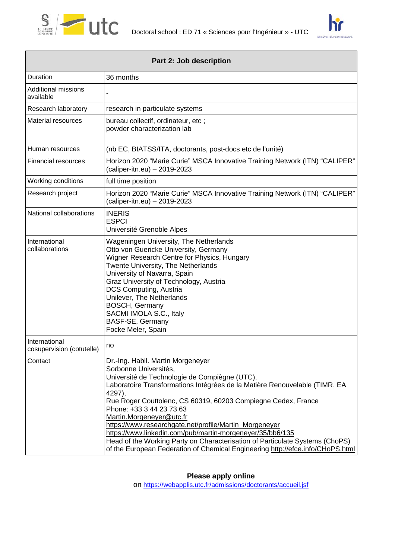

Г



| Part 2: Job description                    |                                                                                                                                                                                                                                                                                                                                                                                                                                                                                                                                                                                                                       |  |
|--------------------------------------------|-----------------------------------------------------------------------------------------------------------------------------------------------------------------------------------------------------------------------------------------------------------------------------------------------------------------------------------------------------------------------------------------------------------------------------------------------------------------------------------------------------------------------------------------------------------------------------------------------------------------------|--|
| Duration                                   | 36 months                                                                                                                                                                                                                                                                                                                                                                                                                                                                                                                                                                                                             |  |
| <b>Additional missions</b><br>available    |                                                                                                                                                                                                                                                                                                                                                                                                                                                                                                                                                                                                                       |  |
| Research laboratory                        | research in particulate systems                                                                                                                                                                                                                                                                                                                                                                                                                                                                                                                                                                                       |  |
| <b>Material resources</b>                  | bureau collectif, ordinateur, etc;<br>powder characterization lab                                                                                                                                                                                                                                                                                                                                                                                                                                                                                                                                                     |  |
| Human resources                            | (nb EC, BIATSS/ITA, doctorants, post-docs etc de l'unité)                                                                                                                                                                                                                                                                                                                                                                                                                                                                                                                                                             |  |
| <b>Financial resources</b>                 | Horizon 2020 "Marie Curie" MSCA Innovative Training Network (ITN) "CALIPER"<br>(caliper-itn.eu) - 2019-2023                                                                                                                                                                                                                                                                                                                                                                                                                                                                                                           |  |
| Working conditions                         | full time position                                                                                                                                                                                                                                                                                                                                                                                                                                                                                                                                                                                                    |  |
| Research project                           | Horizon 2020 "Marie Curie" MSCA Innovative Training Network (ITN) "CALIPER"<br>(caliper-itn.eu) - 2019-2023                                                                                                                                                                                                                                                                                                                                                                                                                                                                                                           |  |
| National collaborations                    | <b>INERIS</b><br><b>ESPCI</b><br>Université Grenoble Alpes                                                                                                                                                                                                                                                                                                                                                                                                                                                                                                                                                            |  |
| International<br>collaborations            | Wageningen University, The Netherlands<br>Otto von Guericke University, Germany<br>Wigner Research Centre for Physics, Hungary<br>Twente University, The Netherlands<br>University of Navarra, Spain<br>Graz University of Technology, Austria<br>DCS Computing, Austria<br>Unilever, The Netherlands<br><b>BOSCH, Germany</b><br>SACMI IMOLA S.C., Italy<br>BASF-SE, Germany<br>Focke Meler, Spain                                                                                                                                                                                                                   |  |
| International<br>cosupervision (cotutelle) | no                                                                                                                                                                                                                                                                                                                                                                                                                                                                                                                                                                                                                    |  |
| Contact                                    | Dr.-Ing. Habil. Martin Morgeneyer<br>Sorbonne Universités,<br>Université de Technologie de Compiègne (UTC),<br>Laboratoire Transformations Intégrées de la Matière Renouvelable (TIMR, EA<br>4297),<br>Rue Roger Couttolenc, CS 60319, 60203 Compiegne Cedex, France<br>Phone: +33 3 44 23 73 63<br>Martin.Morgeneyer@utc.fr<br>https://www.researchgate.net/profile/Martin_Morgeneyer<br>https://www.linkedin.com/pub/martin-morgeneyer/35/bb6/135<br>Head of the Working Party on Characterisation of Particulate Systems (ChoPS)<br>of the European Federation of Chemical Engineering http://efce.info/CHoPS.html |  |

**Please apply online**

on<https://webapplis.utc.fr/admissions/doctorants/accueil.jsf>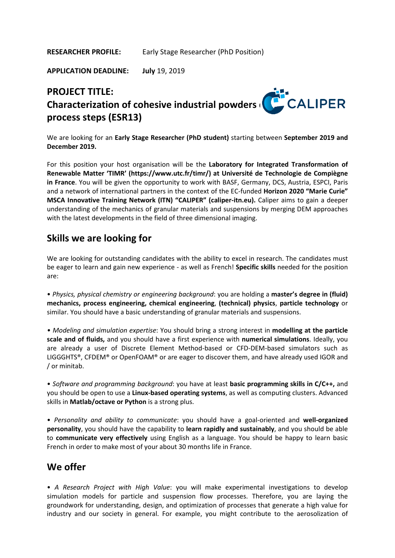**RESEARCHER PROFILE:** Early Stage Researcher (PhD Position)

**APPLICATION DEADLINE: July** 19, 2019

# **PROJECT TITLE: Characterization of cohesive industrial powders (CALIPER process steps (ESR13)**

We are looking for an **Early Stage Researcher (PhD student)** starting between **September 2019 and December 2019.**

For this position your host organisation will be the **Laboratory for Integrated Transformation of Renewable Matter 'TIMR' (https://www.utc.fr/timr/) at Université de Technologie de Compiègne in France**. You will be given the opportunity to work with BASF, Germany, DCS, Austria, ESPCI, Paris and a network of international partners in the context of the EC-funded **Horizon 2020 "Marie Curie" MSCA Innovative Training Network (ITN) "CALIPER" (caliper-itn.eu).** Caliper aims to gain a deeper understanding of the mechanics of granular materials and suspensions by merging DEM approaches with the latest developments in the field of three dimensional imaging.

#### **Skills we are looking for**

We are looking for outstanding candidates with the ability to excel in research. The candidates must be eager to learn and gain new experience - as well as French! **Specific skills** needed for the position are:

• *Physics, physical chemistry or engineering background*: you are holding a **master's degree in (fluid) mechanics, process engineering, chemical engineering**, **(technical) physics**, **particle technology** or similar. You should have a basic understanding of granular materials and suspensions.

*• Modeling and simulation expertise*: You should bring a strong interest in **modelling at the particle scale and of fluids,** and you should have a first experience with **numerical simulations**. Ideally, you are already a user of Discrete Element Method-based or CFD-DEM-based simulators such as LIGGGHTS®, CFDEM® or OpenFOAM® or are eager to discover them, and have already used IGOR and / or minitab.

• *Software and programming background*: you have at least **basic programming skills in C/C++,** and you should be open to use a **Linux-based operating systems**, as well as computing clusters. Advanced skills in **Matlab/octave or Python** is a strong plus.

• *Personality and ability to communicate*: you should have a goal-oriented and **well-organized personality**, you should have the capability to **learn rapidly and sustainably**, and you should be able to **communicate very effectively** using English as a language. You should be happy to learn basic French in order to make most of your about 30 months life in France.

#### **We offer**

• *A Research Project with High Value*: you will make experimental investigations to develop simulation models for particle and suspension flow processes. Therefore, you are laying the groundwork for understanding, design, and optimization of processes that generate a high value for industry and our society in general. For example, you might contribute to the aerosolization of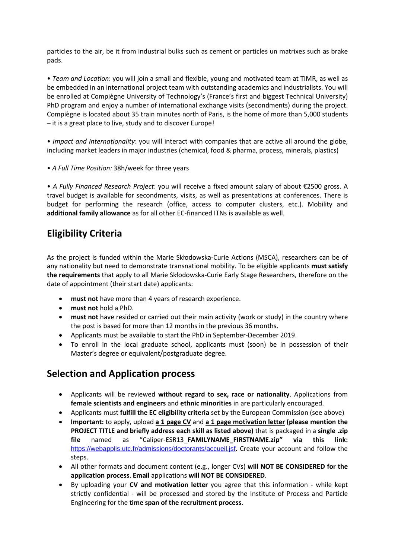particles to the air, be it from industrial bulks such as cement or particles un matrixes such as brake pads.

• *Team and Location*: you will join a small and flexible, young and motivated team at TIMR, as well as be embedded in an international project team with outstanding academics and industrialists. You will be enrolled at Compiègne University of Technology's (France's first and biggest Technical University) PhD program and enjoy a number of international exchange visits (secondments) during the project. Compiègne is located about 35 train minutes north of Paris, is the home of more than 5,000 students – it is a great place to live, study and to discover Europe!

• *Impact and Internationality*: you will interact with companies that are active all around the globe, including market leaders in major industries (chemical, food & pharma, process, minerals, plastics)

• *A Full Time Position:* 38h/week for three years

• *A Fully Financed Research Project*: you will receive a fixed amount salary of about €2500 gross. A travel budget is available for secondments, visits, as well as presentations at conferences. There is budget for performing the research (office, access to computer clusters, etc.). Mobility and **additional family allowance** as for all other EC-financed ITNs is available as well.

### **Eligibility Criteria**

As the project is funded within the Marie Skłodowska-Curie Actions (MSCA), researchers can be of any nationality but need to demonstrate transnational mobility. To be eligible applicants **must satisfy the requirements** that apply to all Marie Skłodowska-Curie Early Stage Researchers, therefore on the date of appointment (their start date) applicants:

- **must not** have more than 4 years of research experience.
- **must not** hold a PhD.
- **must not** have resided or carried out their main activity (work or study) in the country where the post is based for more than 12 months in the previous 36 months.
- Applicants must be available to start the PhD in September-December 2019.
- To enroll in the local graduate school, applicants must (soon) be in possession of their Master's degree or equivalent/postgraduate degree.

### **Selection and Application process**

- Applicants will be reviewed **without regard to sex, race or nationality**. Applications from **female scientists and engineers** and **ethnic minorities** in are particularly encouraged.
- Applicants must **fulfill the EC eligibility criteria** set by the European Commission (see above)
- **Important:** to apply, upload **a 1 page CV** and **a 1 page motivation letter (please mention the PROJECT TITLE and briefly address each skill as listed above)** that is packaged in a **single .zip file** named as "Caliper-ESR13\_**FAMILYNAME\_FIRSTNAME.zip" via this link:**  <https://webapplis.utc.fr/admissions/doctorants/accueil.jsf>**.** Create your account and follow the steps.
- All other formats and document content (e.g., longer CVs) **will NOT BE CONSIDERED for the application process**. **Email** applications **will NOT BE CONSIDERED**.
- By uploading your **CV and motivation letter** you agree that this information while kept strictly confidential - will be processed and stored by the Institute of Process and Particle Engineering for the **time span of the recruitment process**.